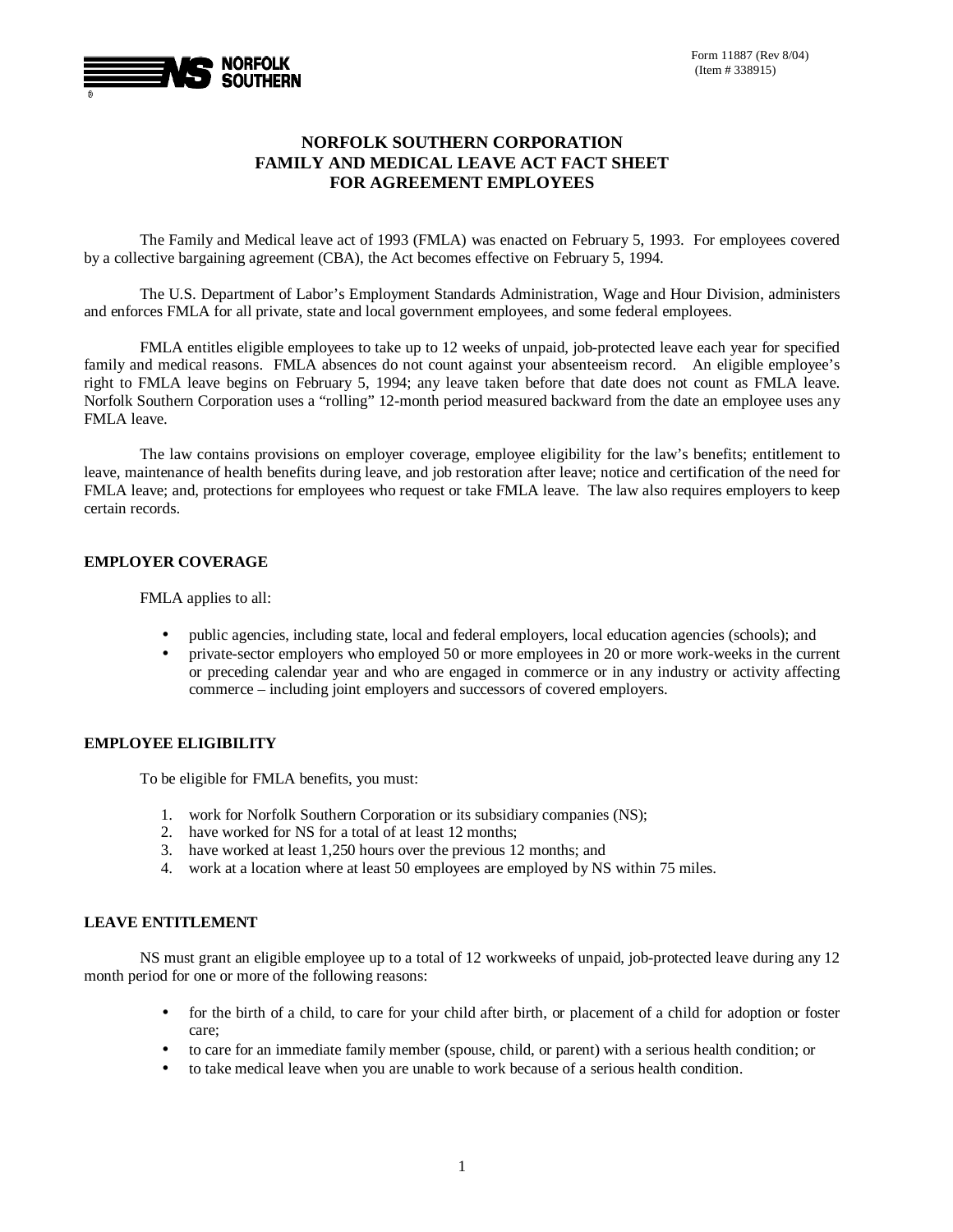

# **NORFOLK SOUTHERN CORPORATION FAMILY AND MEDICAL LEAVE ACT FACT SHEET FOR AGREEMENT EMPLOYEES**

The Family and Medical leave act of 1993 (FMLA) was enacted on February 5, 1993. For employees covered by a collective bargaining agreement (CBA), the Act becomes effective on February 5, 1994.

The U.S. Department of Labor's Employment Standards Administration, Wage and Hour Division, administers and enforces FMLA for all private, state and local government employees, and some federal employees.

FMLA entitles eligible employees to take up to 12 weeks of unpaid, job-protected leave each year for specified family and medical reasons. FMLA absences do not count against your absenteeism record. An eligible employee's right to FMLA leave begins on February 5, 1994; any leave taken before that date does not count as FMLA leave. Norfolk Southern Corporation uses a "rolling" 12-month period measured backward from the date an employee uses any FMLA leave.

The law contains provisions on employer coverage, employee eligibility for the law's benefits; entitlement to leave, maintenance of health benefits during leave, and job restoration after leave; notice and certification of the need for FMLA leave; and, protections for employees who request or take FMLA leave. The law also requires employers to keep certain records.

## **EMPLOYER COVERAGE**

FMLA applies to all:

- public agencies, including state, local and federal employers, local education agencies (schools); and
- private-sector employers who employed 50 or more employees in 20 or more work-weeks in the current or preceding calendar year and who are engaged in commerce or in any industry or activity affecting commerce – including joint employers and successors of covered employers.

## **EMPLOYEE ELIGIBILITY**

To be eligible for FMLA benefits, you must:

- 1. work for Norfolk Southern Corporation or its subsidiary companies (NS);
- 2. have worked for NS for a total of at least 12 months;
- 3. have worked at least 1,250 hours over the previous 12 months; and
- 4. work at a location where at least 50 employees are employed by NS within 75 miles.

### **LEAVE ENTITLEMENT**

NS must grant an eligible employee up to a total of 12 workweeks of unpaid, job-protected leave during any 12 month period for one or more of the following reasons:

- for the birth of a child, to care for your child after birth, or placement of a child for adoption or foster care;
- to care for an immediate family member (spouse, child, or parent) with a serious health condition; or
- to take medical leave when you are unable to work because of a serious health condition.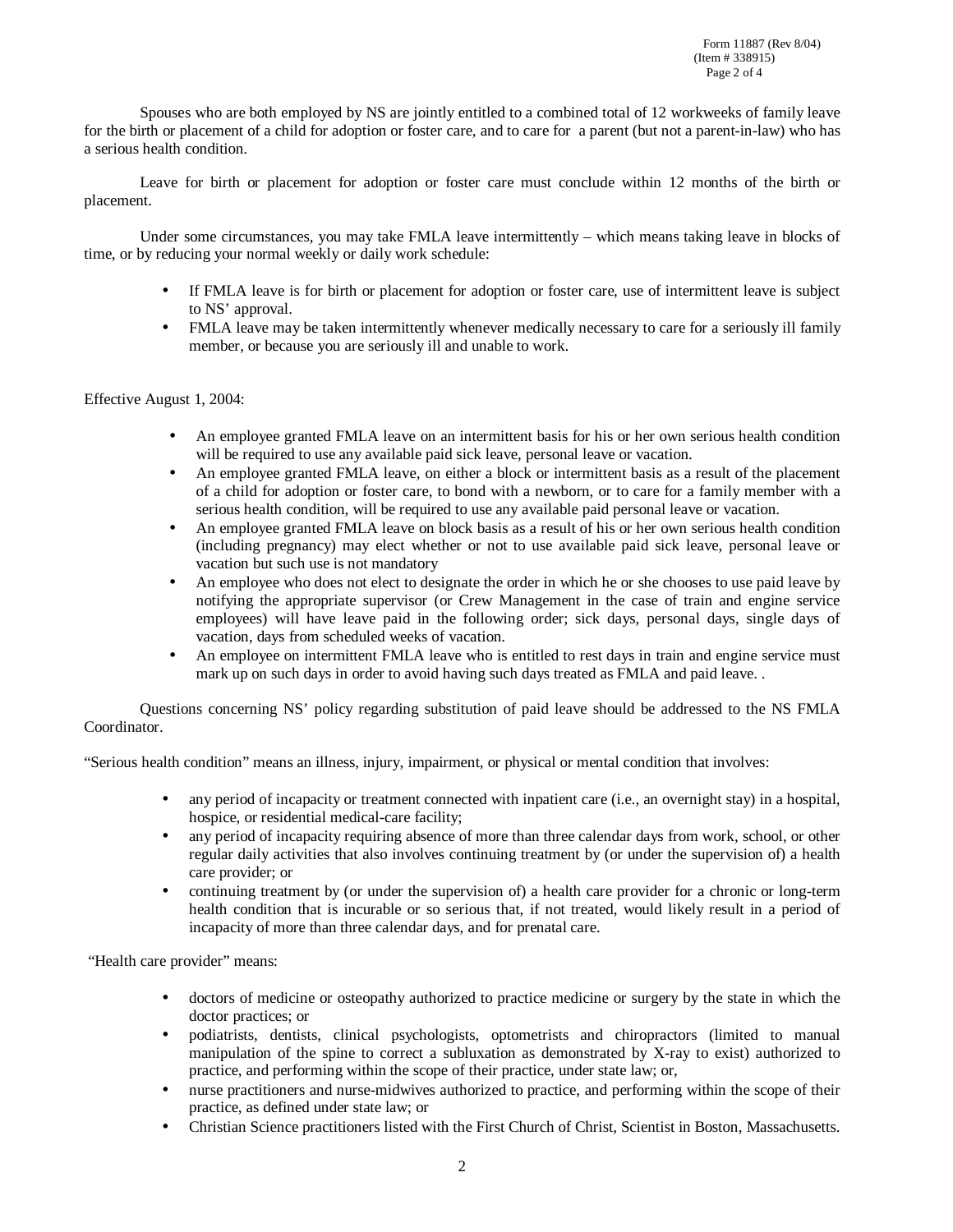Spouses who are both employed by NS are jointly entitled to a combined total of 12 workweeks of family leave for the birth or placement of a child for adoption or foster care, and to care for a parent (but not a parent-in-law) who has a serious health condition.

Leave for birth or placement for adoption or foster care must conclude within 12 months of the birth or placement.

Under some circumstances, you may take FMLA leave intermittently – which means taking leave in blocks of time, or by reducing your normal weekly or daily work schedule:

- If FMLA leave is for birth or placement for adoption or foster care, use of intermittent leave is subject to NS' approval.
- FMLA leave may be taken intermittently whenever medically necessary to care for a seriously ill family member, or because you are seriously ill and unable to work.

### Effective August 1, 2004:

- An employee granted FMLA leave on an intermittent basis for his or her own serious health condition will be required to use any available paid sick leave, personal leave or vacation.
- An employee granted FMLA leave, on either a block or intermittent basis as a result of the placement of a child for adoption or foster care, to bond with a newborn, or to care for a family member with a serious health condition, will be required to use any available paid personal leave or vacation.
- An employee granted FMLA leave on block basis as a result of his or her own serious health condition (including pregnancy) may elect whether or not to use available paid sick leave, personal leave or vacation but such use is not mandatory
- An employee who does not elect to designate the order in which he or she chooses to use paid leave by notifying the appropriate supervisor (or Crew Management in the case of train and engine service employees) will have leave paid in the following order; sick days, personal days, single days of vacation, days from scheduled weeks of vacation.
- An employee on intermittent FMLA leave who is entitled to rest days in train and engine service must mark up on such days in order to avoid having such days treated as FMLA and paid leave..

Questions concerning NS' policy regarding substitution of paid leave should be addressed to the NS FMLA Coordinator.

"Serious health condition" means an illness, injury, impairment, or physical or mental condition that involves:

- any period of incapacity or treatment connected with inpatient care (i.e., an overnight stay) in a hospital, hospice, or residential medical-care facility;
- any period of incapacity requiring absence of more than three calendar days from work, school, or other regular daily activities that also involves continuing treatment by (or under the supervision of) a health care provider; or
- continuing treatment by (or under the supervision of) a health care provider for a chronic or long-term health condition that is incurable or so serious that, if not treated, would likely result in a period of incapacity of more than three calendar days, and for prenatal care.

"Health care provider" means:

- doctors of medicine or osteopathy authorized to practice medicine or surgery by the state in which the doctor practices; or
- podiatrists, dentists, clinical psychologists, optometrists and chiropractors (limited to manual manipulation of the spine to correct a subluxation as demonstrated by X-ray to exist) authorized to practice, and performing within the scope of their practice, under state law; or,
- nurse practitioners and nurse-midwives authorized to practice, and performing within the scope of their practice, as defined under state law; or
- Christian Science practitioners listed with the First Church of Christ, Scientist in Boston, Massachusetts.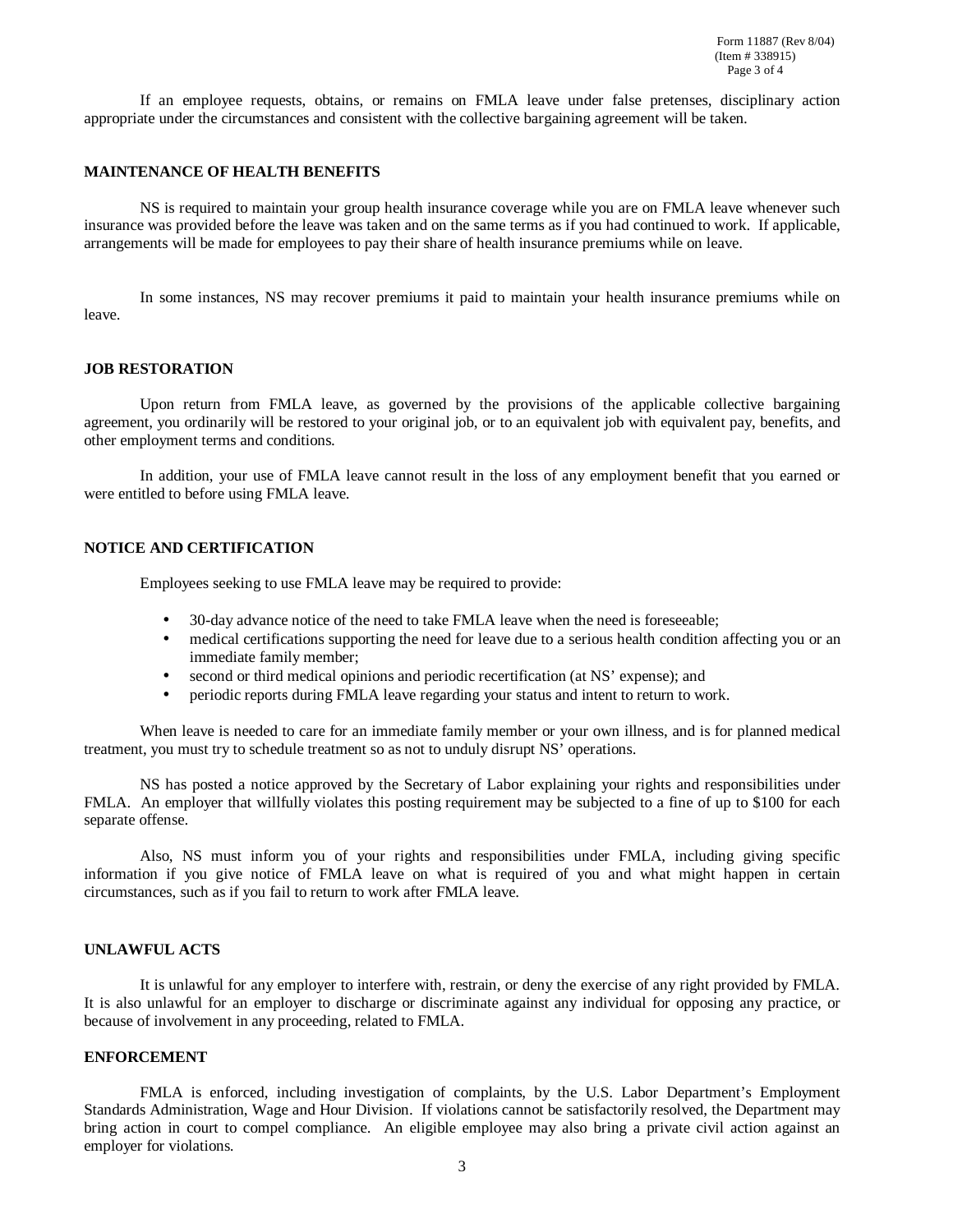If an employee requests, obtains, or remains on FMLA leave under false pretenses, disciplinary action appropriate under the circumstances and consistent with the collective bargaining agreement will be taken.

### **MAINTENANCE OF HEALTH BENEFITS**

NS is required to maintain your group health insurance coverage while you are on FMLA leave whenever such insurance was provided before the leave was taken and on the same terms as if you had continued to work. If applicable, arrangements will be made for employees to pay their share of health insurance premiums while on leave.

In some instances, NS may recover premiums it paid to maintain your health insurance premiums while on leave.

#### **JOB RESTORATION**

Upon return from FMLA leave, as governed by the provisions of the applicable collective bargaining agreement, you ordinarily will be restored to your original job, or to an equivalent job with equivalent pay, benefits, and other employment terms and conditions.

In addition, your use of FMLA leave cannot result in the loss of any employment benefit that you earned or were entitled to before using FMLA leave.

### **NOTICE AND CERTIFICATION**

Employees seeking to use FMLA leave may be required to provide:

- 30-day advance notice of the need to take FMLA leave when the need is foreseeable;
- medical certifications supporting the need for leave due to a serious health condition affecting you or an immediate family member;
- second or third medical opinions and periodic recertification (at NS' expense); and
- periodic reports during FMLA leave regarding your status and intent to return to work.

When leave is needed to care for an immediate family member or your own illness, and is for planned medical treatment, you must try to schedule treatment so as not to unduly disrupt NS' operations.

NS has posted a notice approved by the Secretary of Labor explaining your rights and responsibilities under FMLA. An employer that willfully violates this posting requirement may be subjected to a fine of up to \$100 for each separate offense.

Also, NS must inform you of your rights and responsibilities under FMLA, including giving specific information if you give notice of FMLA leave on what is required of you and what might happen in certain circumstances, such as if you fail to return to work after FMLA leave.

## **UNLAWFUL ACTS**

It is unlawful for any employer to interfere with, restrain, or deny the exercise of any right provided by FMLA. It is also unlawful for an employer to discharge or discriminate against any individual for opposing any practice, or because of involvement in any proceeding, related to FMLA.

#### **ENFORCEMENT**

FMLA is enforced, including investigation of complaints, by the U.S. Labor Department's Employment Standards Administration, Wage and Hour Division. If violations cannot be satisfactorily resolved, the Department may bring action in court to compel compliance. An eligible employee may also bring a private civil action against an employer for violations.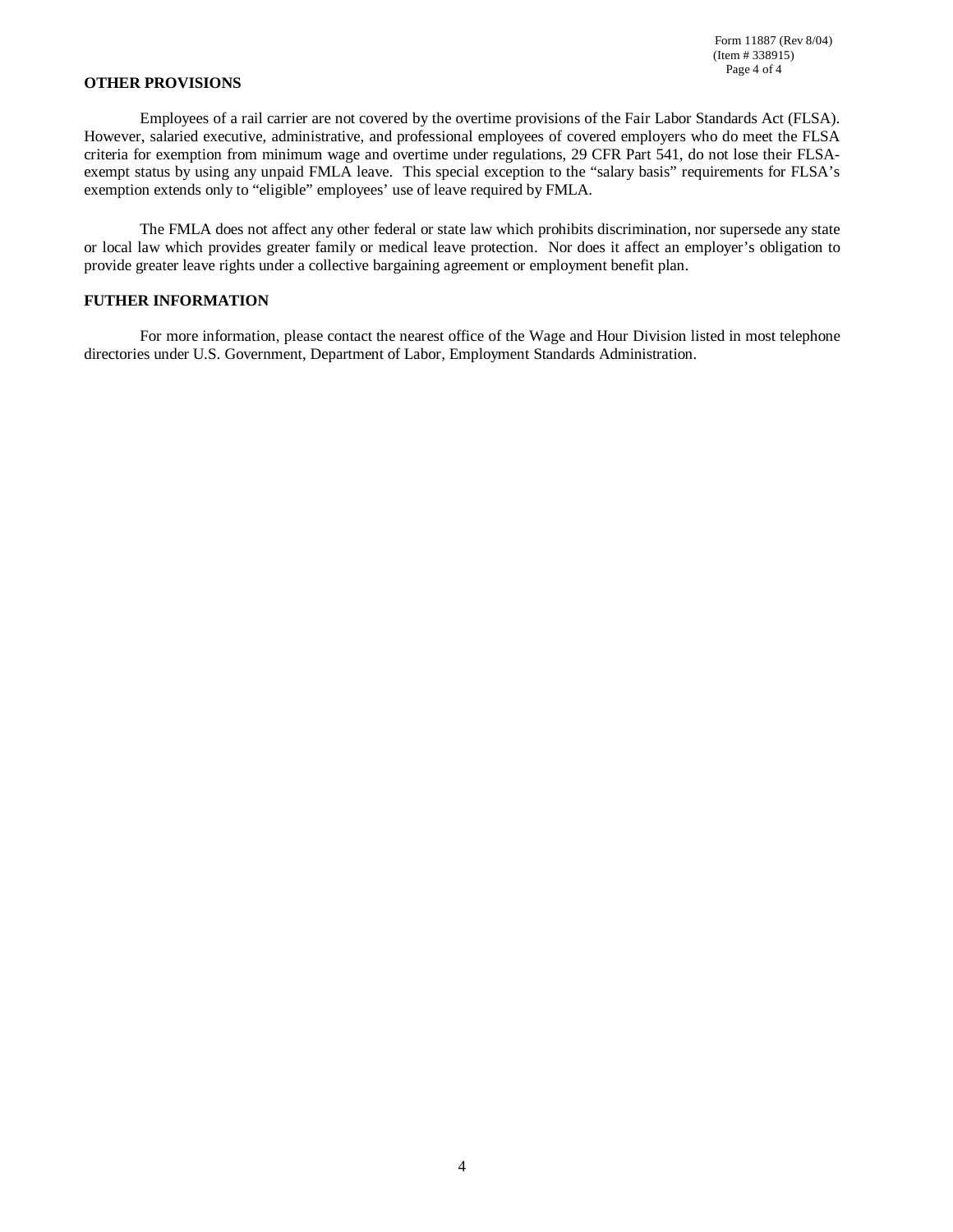#### **OTHER PROVISIONS**

Employees of a rail carrier are not covered by the overtime provisions of the Fair Labor Standards Act (FLSA). However, salaried executive, administrative, and professional employees of covered employers who do meet the FLSA criteria for exemption from minimum wage and overtime under regulations, 29 CFR Part 541, do not lose their FLSAexempt status by using any unpaid FMLA leave. This special exception to the "salary basis" requirements for FLSA's exemption extends only to "eligible" employees' use of leave required by FMLA.

The FMLA does not affect any other federal or state law which prohibits discrimination, nor supersede any state or local law which provides greater family or medical leave protection. Nor does it affect an employer's obligation to provide greater leave rights under a collective bargaining agreement or employment benefit plan.

## **FUTHER INFORMATION**

For more information, please contact the nearest office of the Wage and Hour Division listed in most telephone directories under U.S. Government, Department of Labor, Employment Standards Administration.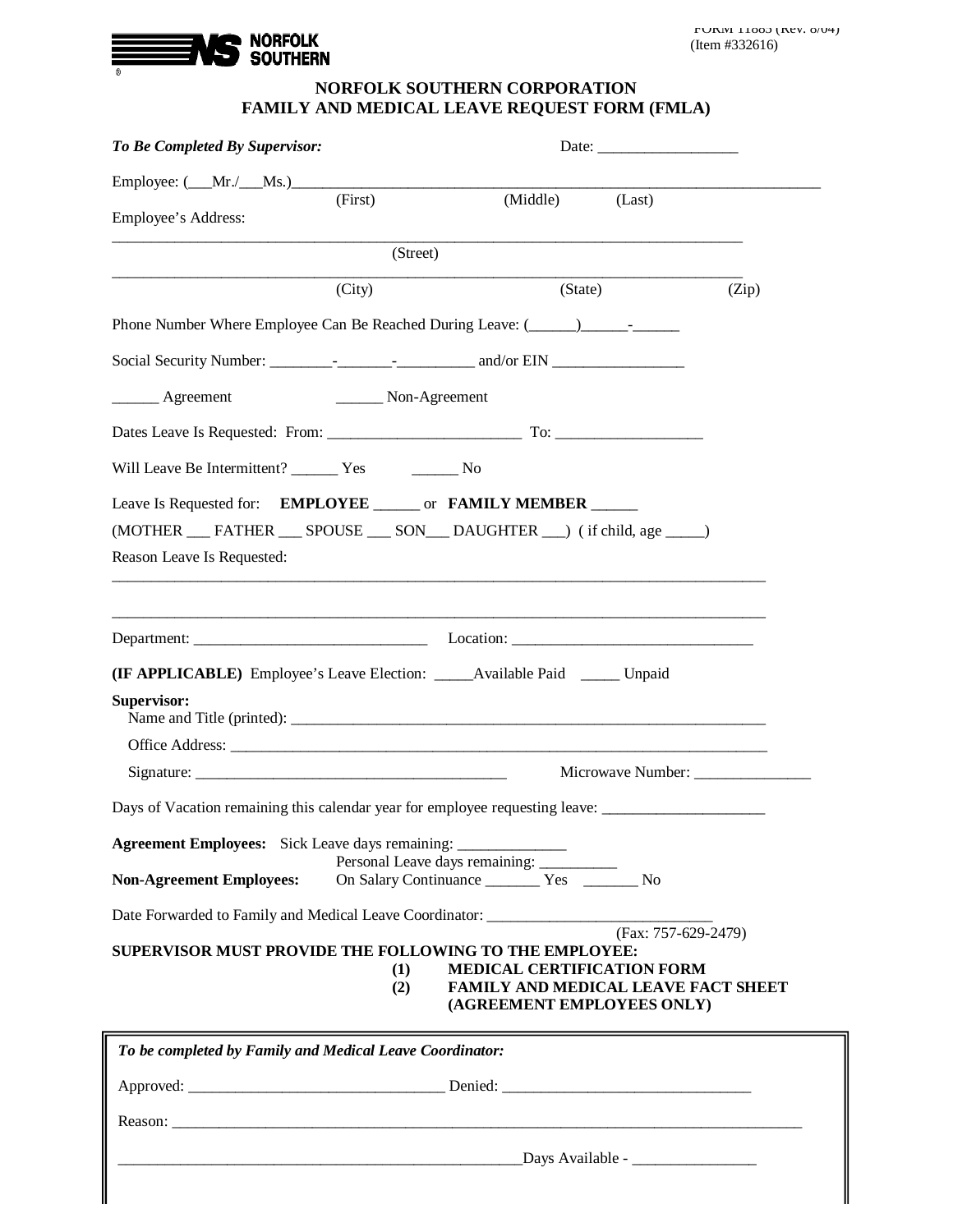

# **NORFOLK SOUTHERN CORPORATION FAMILY AND MEDICAL LEAVE REQUEST FORM (FMLA)**

| To Be Completed By Supervisor:                                                                       |               |                                   |                                                                   |
|------------------------------------------------------------------------------------------------------|---------------|-----------------------------------|-------------------------------------------------------------------|
| Employee: $(\underline{\hspace{1cm}}\text{Mr.}/\underline{\hspace{1cm}}\text{Ms.})$                  |               |                                   |                                                                   |
| Employee's Address:                                                                                  | (First)       |                                   | (Middle) (Last)                                                   |
|                                                                                                      | (Street)      |                                   |                                                                   |
|                                                                                                      | (City)        |                                   | (State)<br>(Zip)                                                  |
| Phone Number Where Employee Can Be Reached During Leave: (2008)                                      |               |                                   |                                                                   |
|                                                                                                      |               |                                   |                                                                   |
| _______ Agreement                                                                                    | Non-Agreement |                                   |                                                                   |
|                                                                                                      |               |                                   |                                                                   |
|                                                                                                      |               |                                   |                                                                   |
| Leave Is Requested for: EMPLOYEE _______ or FAMILY MEMBER ______                                     |               |                                   |                                                                   |
| (MOTHER __ FATHER __ SPOUSE __ SON __ DAUGHTER __) (if child, age ____)                              |               |                                   |                                                                   |
| Reason Leave Is Requested:                                                                           |               |                                   |                                                                   |
|                                                                                                      |               |                                   |                                                                   |
|                                                                                                      |               |                                   |                                                                   |
|                                                                                                      |               |                                   |                                                                   |
| (IF APPLICABLE) Employee's Leave Election: ______Available Paid ______ Unpaid                        |               |                                   |                                                                   |
| Supervisor:                                                                                          |               |                                   |                                                                   |
|                                                                                                      |               |                                   |                                                                   |
|                                                                                                      |               |                                   | Microwave Number:                                                 |
| Days of Vacation remaining this calendar year for employee requesting leave: _______________________ |               |                                   |                                                                   |
|                                                                                                      |               |                                   |                                                                   |
| <b>Non-Agreement Employees:</b>                                                                      |               | Personal Leave days remaining:    |                                                                   |
| Date Forwarded to Family and Medical Leave Coordinator: ________________________                     |               |                                   |                                                                   |
|                                                                                                      |               |                                   | (Fax: 757-629-2479)                                               |
| <b>SUPERVISOR MUST PROVIDE THE FOLLOWING TO THE EMPLOYEE:</b>                                        | (1)           | <b>MEDICAL CERTIFICATION FORM</b> |                                                                   |
|                                                                                                      | (2)           |                                   | FAMILY AND MEDICAL LEAVE FACT SHEET<br>(AGREEMENT EMPLOYEES ONLY) |
|                                                                                                      |               |                                   |                                                                   |
| To be completed by Family and Medical Leave Coordinator:                                             |               |                                   |                                                                   |
|                                                                                                      |               |                                   |                                                                   |
|                                                                                                      |               |                                   |                                                                   |

\_\_\_\_\_\_\_\_\_\_\_\_\_\_\_\_\_\_\_\_\_\_\_\_\_\_\_\_\_\_\_\_\_\_\_\_\_\_\_\_\_\_\_\_\_\_\_\_\_\_\_\_Days Available - \_\_\_\_\_\_\_\_\_\_\_\_\_\_\_\_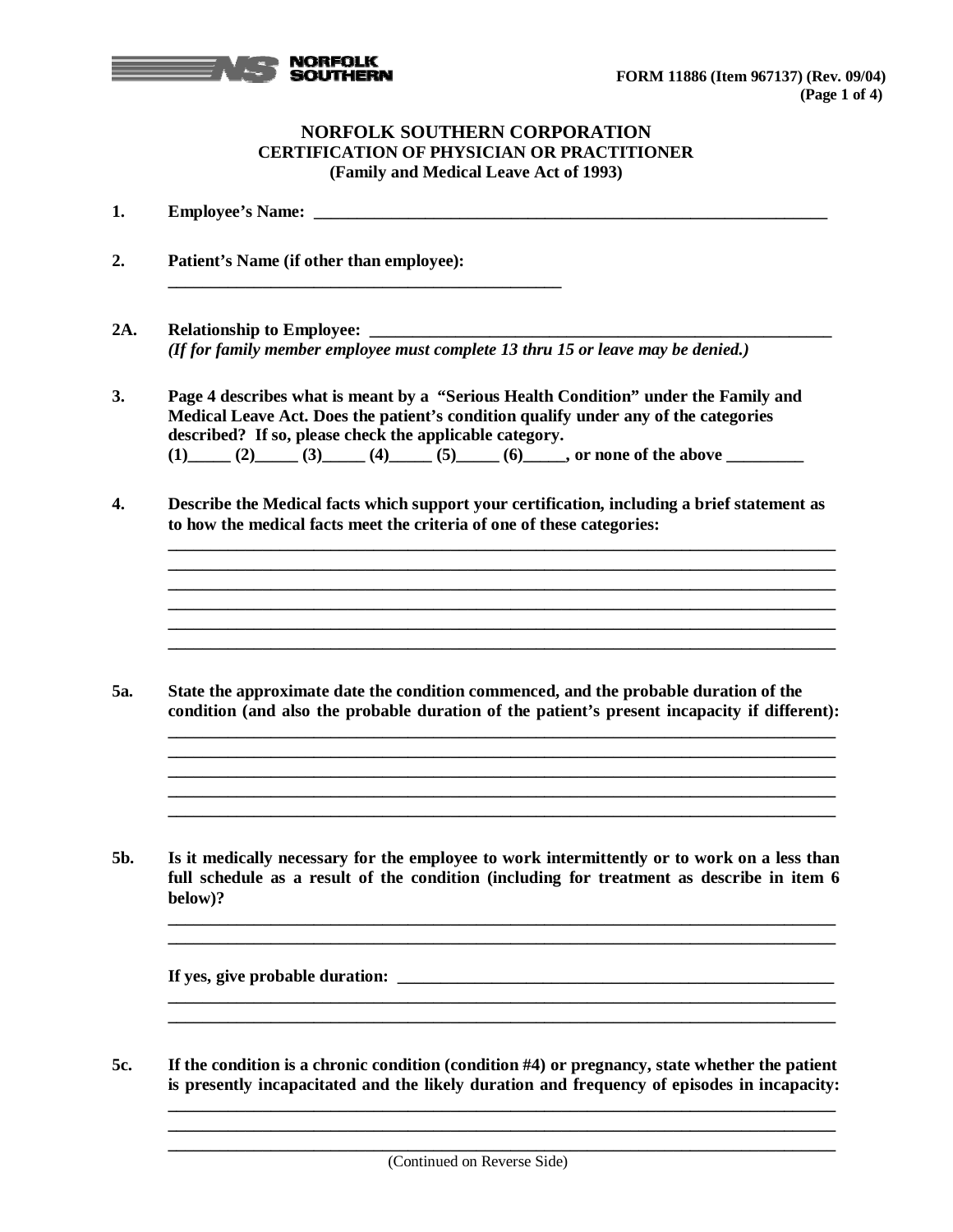

# **NORFOLK SOUTHERN CORPORATION CERTIFICATION OF PHYSICIAN OR PRACTITIONER (Family and Medical Leave Act of 1993)**

**1. Employee's Name: \_\_\_\_\_\_\_\_\_\_\_\_\_\_\_\_\_\_\_\_\_\_\_\_\_\_\_\_\_\_\_\_\_\_\_\_\_\_\_\_\_\_\_\_\_\_\_\_\_\_\_\_\_\_\_\_\_\_\_\_**

- **2. Patient's Name (if other than employee): \_\_\_\_\_\_\_\_\_\_\_\_\_\_\_\_\_\_\_\_\_\_\_\_\_\_\_\_\_\_\_\_\_\_\_\_\_\_\_\_\_\_\_\_\_\_ 2A. Relationship to Employee: \_\_\_\_\_\_\_\_\_\_\_\_\_\_\_\_\_\_\_\_\_\_\_\_\_\_\_\_\_\_\_\_\_\_\_\_\_\_\_\_\_\_\_\_\_\_\_\_\_\_\_\_\_\_** *(If for family member employee must complete 13 thru 15 or leave may be denied.)*
	- **3. Page 4 describes what is meant by a "Serious Health Condition" under the Family and Medical Leave Act. Does the patient's condition qualify under any of the categories described? If so, please check the applicable category. (1)\_\_\_\_\_ (2)\_\_\_\_\_ (3)\_\_\_\_\_ (4)\_\_\_\_\_ (5)\_\_\_\_\_ (6)\_\_\_\_\_, or none of the above \_\_\_\_\_\_\_\_\_**
	- **4. Describe the Medical facts which support your certification, including a brief statement as to how the medical facts meet the criteria of one of these categories:**

**\_\_\_\_\_\_\_\_\_\_\_\_\_\_\_\_\_\_\_\_\_\_\_\_\_\_\_\_\_\_\_\_\_\_\_\_\_\_\_\_\_\_\_\_\_\_\_\_\_\_\_\_\_\_\_\_\_\_\_\_\_\_\_\_\_\_\_\_\_\_\_\_\_\_\_\_\_\_ \_\_\_\_\_\_\_\_\_\_\_\_\_\_\_\_\_\_\_\_\_\_\_\_\_\_\_\_\_\_\_\_\_\_\_\_\_\_\_\_\_\_\_\_\_\_\_\_\_\_\_\_\_\_\_\_\_\_\_\_\_\_\_\_\_\_\_\_\_\_\_\_\_\_\_\_\_\_ \_\_\_\_\_\_\_\_\_\_\_\_\_\_\_\_\_\_\_\_\_\_\_\_\_\_\_\_\_\_\_\_\_\_\_\_\_\_\_\_\_\_\_\_\_\_\_\_\_\_\_\_\_\_\_\_\_\_\_\_\_\_\_\_\_\_\_\_\_\_\_\_\_\_\_\_\_\_ \_\_\_\_\_\_\_\_\_\_\_\_\_\_\_\_\_\_\_\_\_\_\_\_\_\_\_\_\_\_\_\_\_\_\_\_\_\_\_\_\_\_\_\_\_\_\_\_\_\_\_\_\_\_\_\_\_\_\_\_\_\_\_\_\_\_\_\_\_\_\_\_\_\_\_\_\_\_ \_\_\_\_\_\_\_\_\_\_\_\_\_\_\_\_\_\_\_\_\_\_\_\_\_\_\_\_\_\_\_\_\_\_\_\_\_\_\_\_\_\_\_\_\_\_\_\_\_\_\_\_\_\_\_\_\_\_\_\_\_\_\_\_\_\_\_\_\_\_\_\_\_\_\_\_\_\_**

**5a. State the approximate date the condition commenced, and the probable duration of the condition (and also the probable duration of the patient's present incapacity if different):** 

**\_\_\_\_\_\_\_\_\_\_\_\_\_\_\_\_\_\_\_\_\_\_\_\_\_\_\_\_\_\_\_\_\_\_\_\_\_\_\_\_\_\_\_\_\_\_\_\_\_\_\_\_\_\_\_\_\_\_\_\_\_\_\_\_\_\_\_\_\_\_\_\_\_\_\_\_\_\_**

**\_\_\_\_\_\_\_\_\_\_\_\_\_\_\_\_\_\_\_\_\_\_\_\_\_\_\_\_\_\_\_\_\_\_\_\_\_\_\_\_\_\_\_\_\_\_\_\_\_\_\_\_\_\_\_\_\_\_\_\_\_\_\_\_\_\_\_\_\_\_\_\_\_\_\_\_\_\_**

**5b. Is it medically necessary for the employee to work intermittently or to work on a less than full schedule as a result of the condition (including for treatment as describe in item 6 below)?** 

**\_\_\_\_\_\_\_\_\_\_\_\_\_\_\_\_\_\_\_\_\_\_\_\_\_\_\_\_\_\_\_\_\_\_\_\_\_\_\_\_\_\_\_\_\_\_\_\_\_\_\_\_\_\_\_\_\_\_\_\_\_\_\_\_\_\_\_\_\_\_\_\_\_\_\_\_\_\_** 

**\_\_\_\_\_\_\_\_\_\_\_\_\_\_\_\_\_\_\_\_\_\_\_\_\_\_\_\_\_\_\_\_\_\_\_\_\_\_\_\_\_\_\_\_\_\_\_\_\_\_\_\_\_\_\_\_\_\_\_\_\_\_\_\_\_\_\_\_\_\_\_\_\_\_\_\_\_\_ \_\_\_\_\_\_\_\_\_\_\_\_\_\_\_\_\_\_\_\_\_\_\_\_\_\_\_\_\_\_\_\_\_\_\_\_\_\_\_\_\_\_\_\_\_\_\_\_\_\_\_\_\_\_\_\_\_\_\_\_\_\_\_\_\_\_\_\_\_\_\_\_\_\_\_\_\_\_**

**\_\_\_\_\_\_\_\_\_\_\_\_\_\_\_\_\_\_\_\_\_\_\_\_\_\_\_\_\_\_\_\_\_\_\_\_\_\_\_\_\_\_\_\_\_\_\_\_\_\_\_\_\_\_\_\_\_\_\_\_\_\_\_\_\_\_\_\_\_\_\_\_\_\_\_\_\_\_**

**\_\_\_\_\_\_\_\_\_\_\_\_\_\_\_\_\_\_\_\_\_\_\_\_\_\_\_\_\_\_\_\_\_\_\_\_\_\_\_\_\_\_\_\_\_\_\_\_\_\_\_\_\_\_\_\_\_\_\_\_\_\_\_\_\_\_\_\_\_\_\_\_\_\_\_\_\_\_**

**If** yes, give probable duration:

**5c. If the condition is a chronic condition (condition #4) or pregnancy, state whether the patient is presently incapacitated and the likely duration and frequency of episodes in incapacity:**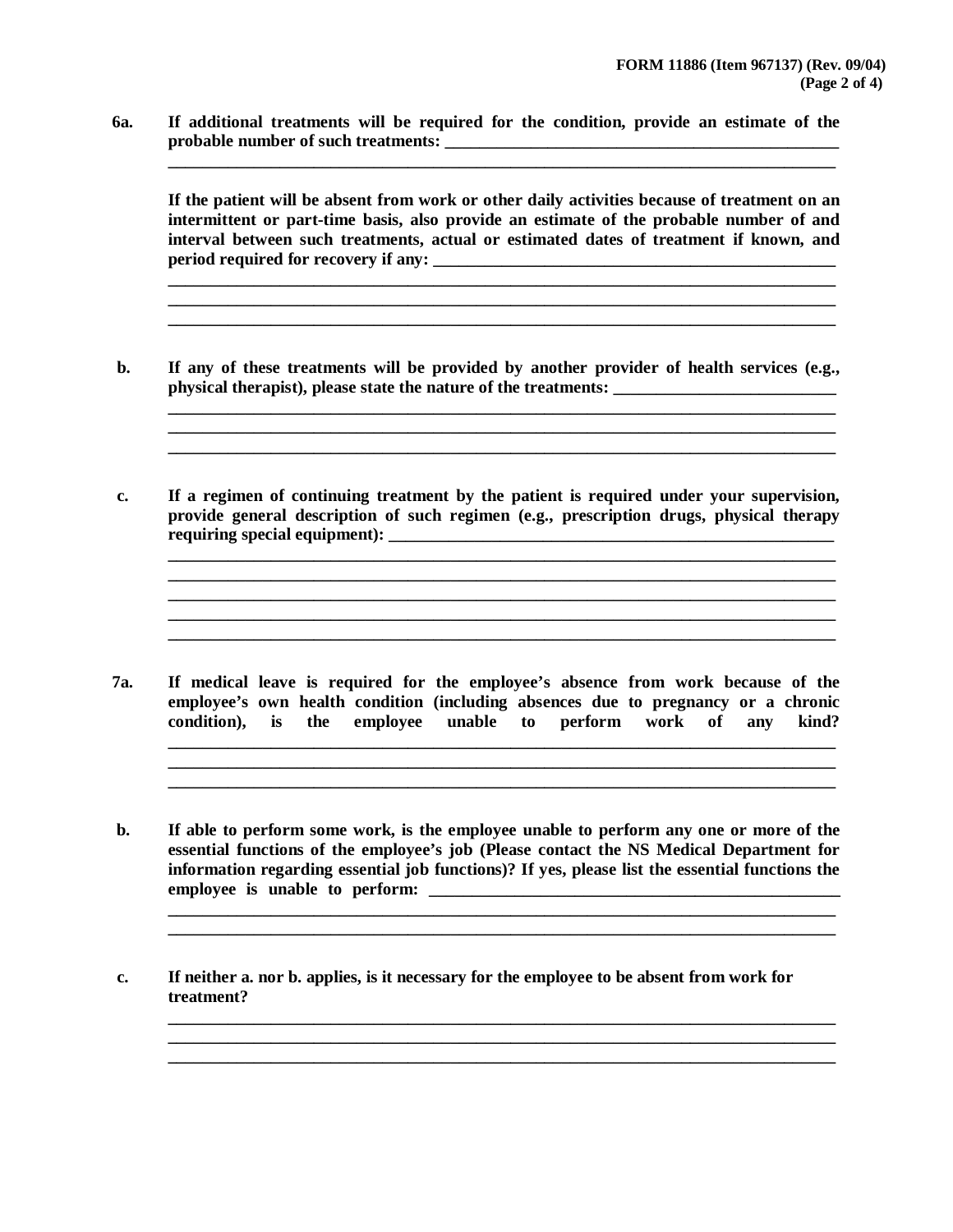**6a. If additional treatments will be required for the condition, provide an estimate of the probable number of such treatments: \_\_\_\_\_\_\_\_\_\_\_\_\_\_\_\_\_\_\_\_\_\_\_\_\_\_\_\_\_\_\_\_\_\_\_\_\_\_\_\_\_\_\_\_\_\_**

**If the patient will be absent from work or other daily activities because of treatment on an intermittent or part-time basis, also provide an estimate of the probable number of and interval between such treatments, actual or estimated dates of treatment if known, and period required for recovery if any: \_\_\_\_\_\_\_\_\_\_\_\_\_\_\_\_\_\_\_\_\_\_\_\_\_\_\_\_\_\_\_\_\_\_\_\_\_\_\_\_\_\_\_\_\_\_\_**

**\_\_\_\_\_\_\_\_\_\_\_\_\_\_\_\_\_\_\_\_\_\_\_\_\_\_\_\_\_\_\_\_\_\_\_\_\_\_\_\_\_\_\_\_\_\_\_\_\_\_\_\_\_\_\_\_\_\_\_\_\_\_\_\_\_\_\_\_\_\_\_\_\_\_\_\_\_\_**

**\_\_\_\_\_\_\_\_\_\_\_\_\_\_\_\_\_\_\_\_\_\_\_\_\_\_\_\_\_\_\_\_\_\_\_\_\_\_\_\_\_\_\_\_\_\_\_\_\_\_\_\_\_\_\_\_\_\_\_\_\_\_\_\_\_\_\_\_\_\_\_\_\_\_\_\_\_\_**

**\_\_\_\_\_\_\_\_\_\_\_\_\_\_\_\_\_\_\_\_\_\_\_\_\_\_\_\_\_\_\_\_\_\_\_\_\_\_\_\_\_\_\_\_\_\_\_\_\_\_\_\_\_\_\_\_\_\_\_\_\_\_\_\_\_\_\_\_\_\_\_\_\_\_\_\_\_\_ \_\_\_\_\_\_\_\_\_\_\_\_\_\_\_\_\_\_\_\_\_\_\_\_\_\_\_\_\_\_\_\_\_\_\_\_\_\_\_\_\_\_\_\_\_\_\_\_\_\_\_\_\_\_\_\_\_\_\_\_\_\_\_\_\_\_\_\_\_\_\_\_\_\_\_\_\_\_ \_\_\_\_\_\_\_\_\_\_\_\_\_\_\_\_\_\_\_\_\_\_\_\_\_\_\_\_\_\_\_\_\_\_\_\_\_\_\_\_\_\_\_\_\_\_\_\_\_\_\_\_\_\_\_\_\_\_\_\_\_\_\_\_\_\_\_\_\_\_\_\_\_\_\_\_\_\_**

**\_\_\_\_\_\_\_\_\_\_\_\_\_\_\_\_\_\_\_\_\_\_\_\_\_\_\_\_\_\_\_\_\_\_\_\_\_\_\_\_\_\_\_\_\_\_\_\_\_\_\_\_\_\_\_\_\_\_\_\_\_\_\_\_\_\_\_\_\_\_\_\_\_\_\_\_\_\_**

**\_\_\_\_\_\_\_\_\_\_\_\_\_\_\_\_\_\_\_\_\_\_\_\_\_\_\_\_\_\_\_\_\_\_\_\_\_\_\_\_\_\_\_\_\_\_\_\_\_\_\_\_\_\_\_\_\_\_\_\_\_\_\_\_\_\_\_\_\_\_\_\_\_\_\_\_\_\_**

- **b. If any of these treatments will be provided by another provider of health services (e.g., physical therapist), please state the nature of the treatments:**
- **c. If a regimen of continuing treatment by the patient is required under your supervision, provide general description of such regimen (e.g., prescription drugs, physical therapy requiring special equipment): \_\_\_\_\_\_\_\_\_\_\_\_\_\_\_\_\_\_\_\_\_\_\_\_\_\_\_\_\_\_\_\_\_\_\_\_\_\_\_\_\_\_\_\_\_\_\_\_\_\_\_\_**

**7a. If medical leave is required for the employee's absence from work because of the employee's own health condition (including absences due to pregnancy or a chronic condition), is the employee unable to perform work of any kind?** 

**\_\_\_\_\_\_\_\_\_\_\_\_\_\_\_\_\_\_\_\_\_\_\_\_\_\_\_\_\_\_\_\_\_\_\_\_\_\_\_\_\_\_\_\_\_\_\_\_\_\_\_\_\_\_\_\_\_\_\_\_\_\_\_\_\_\_\_\_\_\_\_\_\_\_\_\_\_\_ \_\_\_\_\_\_\_\_\_\_\_\_\_\_\_\_\_\_\_\_\_\_\_\_\_\_\_\_\_\_\_\_\_\_\_\_\_\_\_\_\_\_\_\_\_\_\_\_\_\_\_\_\_\_\_\_\_\_\_\_\_\_\_\_\_\_\_\_\_\_\_\_\_\_\_\_\_\_ \_\_\_\_\_\_\_\_\_\_\_\_\_\_\_\_\_\_\_\_\_\_\_\_\_\_\_\_\_\_\_\_\_\_\_\_\_\_\_\_\_\_\_\_\_\_\_\_\_\_\_\_\_\_\_\_\_\_\_\_\_\_\_\_\_\_\_\_\_\_\_\_\_\_\_\_\_\_**

**b. If able to perform some work, is the employee unable to perform any one or more of the essential functions of the employee's job (Please contact the NS Medical Department for information regarding essential job functions)? If yes, please list the essential functions the employee is unable to perform: \_\_\_\_\_\_\_\_\_\_\_\_\_\_\_\_\_\_\_\_\_\_\_\_\_\_\_\_\_\_\_\_\_\_\_\_\_\_\_\_\_\_\_\_\_\_\_\_** 

**\_\_\_\_\_\_\_\_\_\_\_\_\_\_\_\_\_\_\_\_\_\_\_\_\_\_\_\_\_\_\_\_\_\_\_\_\_\_\_\_\_\_\_\_\_\_\_\_\_\_\_\_\_\_\_\_\_\_\_\_\_\_\_\_\_\_\_\_\_\_\_\_\_\_\_\_\_\_ \_\_\_\_\_\_\_\_\_\_\_\_\_\_\_\_\_\_\_\_\_\_\_\_\_\_\_\_\_\_\_\_\_\_\_\_\_\_\_\_\_\_\_\_\_\_\_\_\_\_\_\_\_\_\_\_\_\_\_\_\_\_\_\_\_\_\_\_\_\_\_\_\_\_\_\_\_\_**

**\_\_\_\_\_\_\_\_\_\_\_\_\_\_\_\_\_\_\_\_\_\_\_\_\_\_\_\_\_\_\_\_\_\_\_\_\_\_\_\_\_\_\_\_\_\_\_\_\_\_\_\_\_\_\_\_\_\_\_\_\_\_\_\_\_\_\_\_\_\_\_\_\_\_\_\_\_\_ \_\_\_\_\_\_\_\_\_\_\_\_\_\_\_\_\_\_\_\_\_\_\_\_\_\_\_\_\_\_\_\_\_\_\_\_\_\_\_\_\_\_\_\_\_\_\_\_\_\_\_\_\_\_\_\_\_\_\_\_\_\_\_\_\_\_\_\_\_\_\_\_\_\_\_\_\_\_**

**c. If neither a. nor b. applies, is it necessary for the employee to be absent from work for treatment?**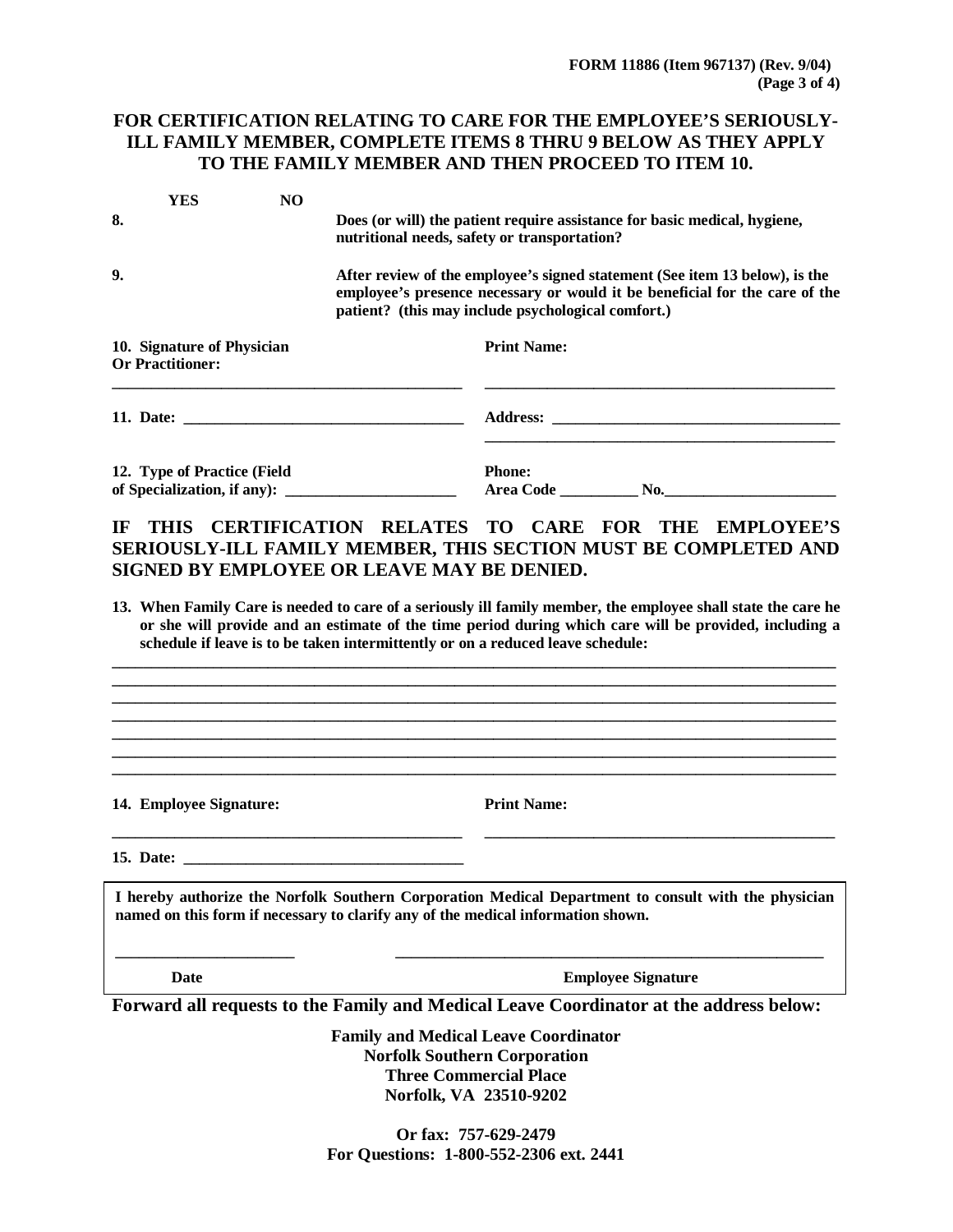# **FOR CERTIFICATION RELATING TO CARE FOR THE EMPLOYEE'S SERIOUSLY-ILL FAMILY MEMBER, COMPLETE ITEMS 8 THRU 9 BELOW AS THEY APPLY TO THE FAMILY MEMBER AND THEN PROCEED TO ITEM 10.**

|                                                            | YES | N <sub>O</sub> |                                                                                                                                                                                                                  |  |  |
|------------------------------------------------------------|-----|----------------|------------------------------------------------------------------------------------------------------------------------------------------------------------------------------------------------------------------|--|--|
| 8.                                                         |     | $\bullet$      | Does (or will) the patient require assistance for basic medical, hygiene,<br>nutritional needs, safety or transportation?                                                                                        |  |  |
| 9.                                                         |     | $\bullet$      | After review of the employee's signed statement (See item 13 below), is the<br>employee's presence necessary or would it be beneficial for the care of the<br>patient? (this may include psychological comfort.) |  |  |
| 10. Signature of Physician<br><b>Or Practitioner:</b>      |     |                | <b>Print Name:</b>                                                                                                                                                                                               |  |  |
|                                                            |     |                |                                                                                                                                                                                                                  |  |  |
| 12. Type of Practice (Field<br>of Specialization, if any): |     |                | <b>Phone:</b><br><b>Area Code</b><br>$\mathbf{No.}$                                                                                                                                                              |  |  |

# **IF THIS CERTIFICATION RELATES TO CARE FOR THE EMPLOYEE'S SERIOUSLY-ILL FAMILY MEMBER, THIS SECTION MUST BE COMPLETED AND SIGNED BY EMPLOYEE OR LEAVE MAY BE DENIED.**

**13. When Family Care is needed to care of a seriously ill family member, the employee shall state the care he**  or she will provide and an estimate of the time period during which care will be provided, including a **schedule if leave is to be taken intermittently or on a reduced leave schedule:**

**\_\_\_\_\_\_\_\_\_\_\_\_\_\_\_\_\_\_\_\_\_\_\_\_\_\_\_\_\_\_\_\_\_\_\_\_\_\_\_\_\_\_\_\_\_\_\_\_\_\_\_\_\_\_\_\_\_\_\_\_\_\_\_\_\_\_\_\_\_\_\_\_\_\_\_\_\_\_\_\_\_\_\_\_\_\_\_\_\_\_\_\_\_**

**\_\_\_\_\_\_\_\_\_\_\_\_\_\_\_\_\_\_\_\_\_\_\_\_\_\_\_\_\_\_\_\_\_\_\_\_\_\_\_\_\_\_\_\_\_\_\_\_\_\_\_\_\_\_\_\_\_\_\_\_\_\_\_\_\_\_\_\_\_\_\_\_\_\_\_\_\_\_\_\_\_\_\_\_\_\_\_\_\_\_\_\_\_ \_\_\_\_\_\_\_\_\_\_\_\_\_\_\_\_\_\_\_\_\_\_\_\_\_\_\_\_\_\_\_\_\_\_\_\_\_\_\_\_\_\_\_\_\_\_\_\_\_\_\_\_\_\_\_\_\_\_\_\_\_\_\_\_\_\_\_\_\_\_\_\_\_\_\_\_\_\_\_\_\_\_\_\_\_\_\_\_\_\_\_\_\_ \_\_\_\_\_\_\_\_\_\_\_\_\_\_\_\_\_\_\_\_\_\_\_\_\_\_\_\_\_\_\_\_\_\_\_\_\_\_\_\_\_\_\_\_\_\_\_\_\_\_\_\_\_\_\_\_\_\_\_\_\_\_\_\_\_\_\_\_\_\_\_\_\_\_\_\_\_\_\_\_\_\_\_\_\_\_\_\_\_\_\_\_\_ \_\_\_\_\_\_\_\_\_\_\_\_\_\_\_\_\_\_\_\_\_\_\_\_\_\_\_\_\_\_\_\_\_\_\_\_\_\_\_\_\_\_\_\_\_\_\_\_\_\_\_\_\_\_\_\_\_\_\_\_\_\_\_\_\_\_\_\_\_\_\_\_\_\_\_\_\_\_\_\_\_\_\_\_\_\_\_\_\_\_\_\_\_ \_\_\_\_\_\_\_\_\_\_\_\_\_\_\_\_\_\_\_\_\_\_\_\_\_\_\_\_\_\_\_\_\_\_\_\_\_\_\_\_\_\_\_\_\_\_\_\_\_\_\_\_\_\_\_\_\_\_\_\_\_\_\_\_\_\_\_\_\_\_\_\_\_\_\_\_\_\_\_\_\_\_\_\_\_\_\_\_\_\_\_\_\_**

**14. Employee Signature:**

**Print Name:** 

**15. Date: \_\_\_\_\_\_\_\_\_\_\_\_\_\_\_\_\_\_\_\_\_\_\_\_\_\_\_\_\_\_\_\_\_\_\_\_**

**\_\_\_\_\_\_\_\_\_\_\_\_\_\_\_\_\_\_\_\_\_\_\_\_\_\_\_\_\_\_\_\_\_\_\_\_\_\_\_\_\_\_\_\_\_**

**I hereby authorize the Norfolk Southern Corporation Medical Department to consult with the physician named on this form if necessary to clarify any of the medical information shown.**

**Date Employee Signature**

**\_\_\_\_\_\_\_\_\_\_\_\_\_\_\_\_\_\_\_\_\_\_\_\_\_\_\_\_\_\_\_\_\_\_\_\_\_\_\_\_\_\_\_\_\_**

**Forward all requests to the Family and Medical Leave Coordinator at the address below:**

**\_\_\_\_\_\_\_\_\_\_\_\_\_\_\_\_\_\_\_\_\_\_\_ \_\_\_\_\_\_\_\_\_\_\_\_\_\_\_\_\_\_\_\_\_\_\_\_\_\_\_\_\_\_\_\_\_\_\_\_\_\_\_\_\_\_\_\_\_\_\_\_\_\_\_\_\_\_\_**

**Family and Medical Leave Coordinator Norfolk Southern Corporation Three Commercial Place Norfolk, VA 23510-9202**

**Or fax: 757-629-2479 For Questions: 1-800-552-2306 ext. 2441**